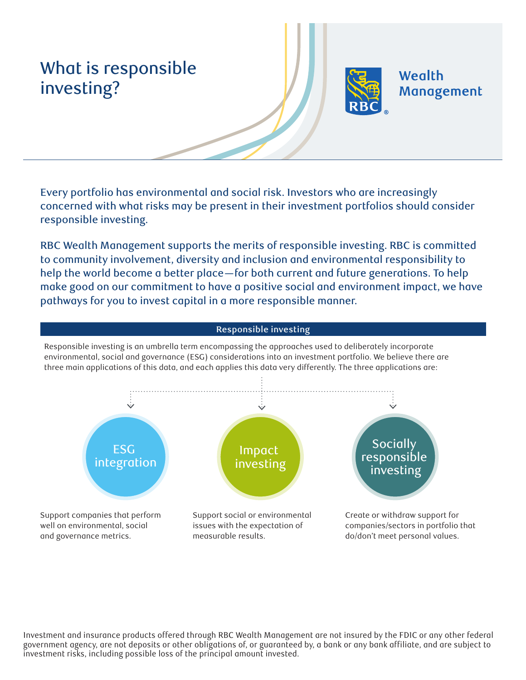# What is responsible investing?



**Wealth** Management

Every portfolio has environmental and social risk. Investors who are increasingly concerned with what risks may be present in their investment portfolios should consider responsible investing.

RBC Wealth Management supports the merits of responsible investing. RBC is committed to community involvement, diversity and inclusion and environmental responsibility to help the world become a better place—for both current and future generations. To help make good on our commitment to have a positive social and environment impact, we have pathways for you to invest capital in a more responsible manner.

### Support companies that perform well on environmental, social and governance metrics. Support social or environmental issues with the expectation of measurable results. Create or withdraw support for companies/sectors in portfolio that do/don't meet personal values. **Responsible investing** Responsible investing is an umbrella term encompassing the approaches used to deliberately incorporate environmental, social and governance (ESG) considerations into an investment portfolio. We believe there are three main applications of this data, and each applies this data very differently. The three applications are: **Socially** responsible investing Impact investing **ESG** integration

Investment and insurance products offered through RBC Wealth Management are not insured by the FDIC or any other federal government agency, are not deposits or other obligations of, or guaranteed by, a bank or any bank affiliate, and are subject to investment risks, including possible loss of the principal amount invested.